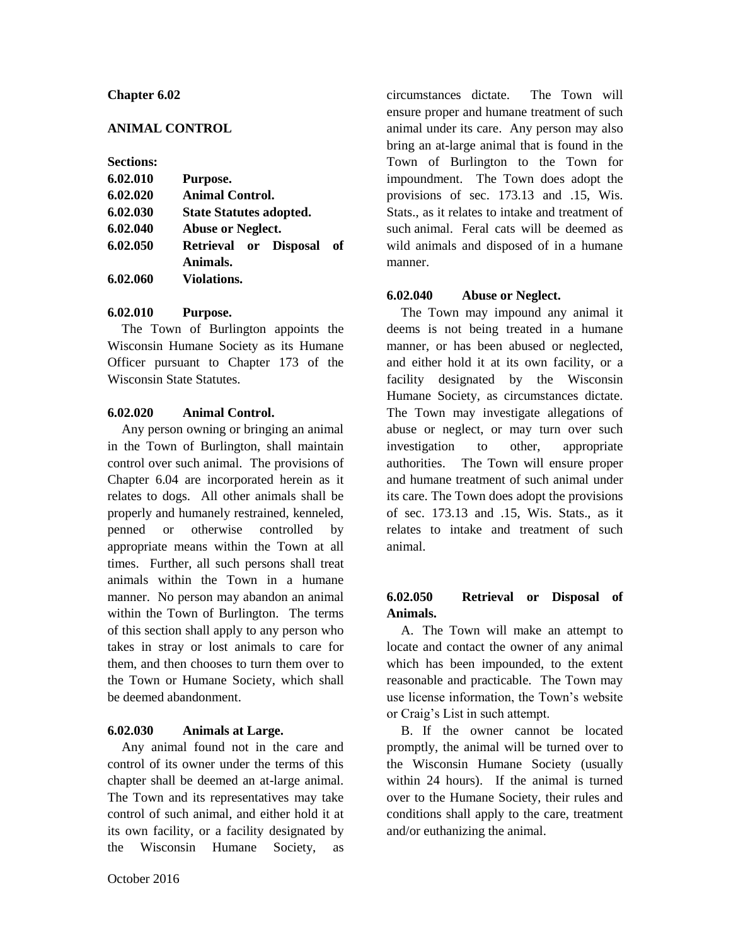#### **Chapter 6.02**

## **ANIMAL CONTROL**

#### **Sections:**

| 6.02.010 | Purpose.                       |
|----------|--------------------------------|
| 6.02.020 | <b>Animal Control.</b>         |
| 6.02.030 | <b>State Statutes adopted.</b> |
| 6.02.040 | <b>Abuse or Neglect.</b>       |
| 6.02.050 | Retrieval or Disposal<br>of    |
|          | Animals.                       |
| 6.02.060 | <b>Violations.</b>             |

#### **6.02.010 Purpose.**

The Town of Burlington appoints the Wisconsin Humane Society as its Humane Officer pursuant to Chapter 173 of the Wisconsin State Statutes.

#### **6.02.020 Animal Control.**

Any person owning or bringing an animal in the Town of Burlington, shall maintain control over such animal. The provisions of Chapter 6.04 are incorporated herein as it relates to dogs. All other animals shall be properly and humanely restrained, kenneled, penned or otherwise controlled by appropriate means within the Town at all times. Further, all such persons shall treat animals within the Town in a humane manner. No person may abandon an animal within the Town of Burlington. The terms of this section shall apply to any person who takes in stray or lost animals to care for them, and then chooses to turn them over to the Town or Humane Society, which shall be deemed abandonment.

## **6.02.030 Animals at Large.**

Any animal found not in the care and control of its owner under the terms of this chapter shall be deemed an at-large animal. The Town and its representatives may take control of such animal, and either hold it at its own facility, or a facility designated by the Wisconsin Humane Society, as circumstances dictate. The Town will ensure proper and humane treatment of such animal under its care. Any person may also bring an at-large animal that is found in the Town of Burlington to the Town for impoundment. The Town does adopt the provisions of sec. 173.13 and .15, Wis. Stats., as it relates to intake and treatment of such animal. Feral cats will be deemed as wild animals and disposed of in a humane manner.

## **6.02.040 Abuse or Neglect.**

The Town may impound any animal it deems is not being treated in a humane manner, or has been abused or neglected, and either hold it at its own facility, or a facility designated by the Wisconsin Humane Society, as circumstances dictate. The Town may investigate allegations of abuse or neglect, or may turn over such investigation to other, appropriate authorities. The Town will ensure proper and humane treatment of such animal under its care. The Town does adopt the provisions of sec. 173.13 and .15, Wis. Stats., as it relates to intake and treatment of such animal.

# **6.02.050 Retrieval or Disposal of Animals.**

A. The Town will make an attempt to locate and contact the owner of any animal which has been impounded, to the extent reasonable and practicable. The Town may use license information, the Town's website or Craig's List in such attempt.

B. If the owner cannot be located promptly, the animal will be turned over to the Wisconsin Humane Society (usually within 24 hours). If the animal is turned over to the Humane Society, their rules and conditions shall apply to the care, treatment and/or euthanizing the animal.